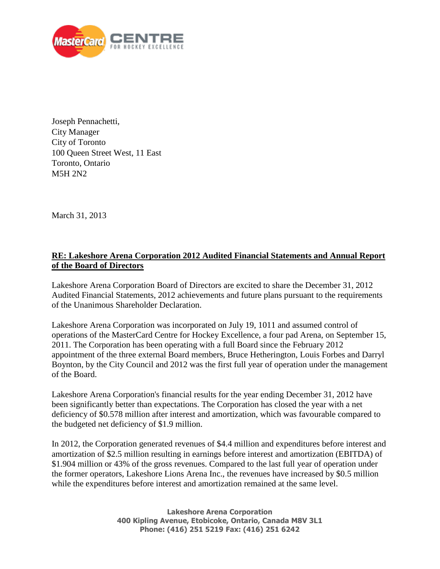

Joseph Pennachetti, City Manager City of Toronto 100 Queen Street West, 11 East Toronto, Ontario M5H 2N2

March 31, 2013

## **RE: Lakeshore Arena Corporation 2012 Audited Financial Statements and Annual Report of the Board of Directors**

Lakeshore Arena Corporation Board of Directors are excited to share the December 31, 2012 Audited Financial Statements, 2012 achievements and future plans pursuant to the requirements of the Unanimous Shareholder Declaration.

Lakeshore Arena Corporation was incorporated on July 19, 1011 and assumed control of operations of the MasterCard Centre for Hockey Excellence, a four pad Arena, on September 15, 2011. The Corporation has been operating with a full Board since the February 2012 appointment of the three external Board members, Bruce Hetherington, Louis Forbes and Darryl Boynton, by the City Council and 2012 was the first full year of operation under the management of the Board.

Lakeshore Arena Corporation's financial results for the year ending December 31, 2012 have been significantly better than expectations. The Corporation has closed the year with a net deficiency of \$0.578 million after interest and amortization, which was favourable compared to the budgeted net deficiency of \$1.9 million.

In 2012, the Corporation generated revenues of \$4.4 million and expenditures before interest and amortization of \$2.5 million resulting in earnings before interest and amortization (EBITDA) of \$1.904 million or 43% of the gross revenues. Compared to the last full year of operation under the former operators, Lakeshore Lions Arena Inc., the revenues have increased by \$0.5 million while the expenditures before interest and amortization remained at the same level.

> **Lakeshore Arena Corporation 400 Kipling Avenue, Etobicoke, Ontario, Canada M8V 3L1 Phone: (416) 251 5219 Fax: (416) 251 6242**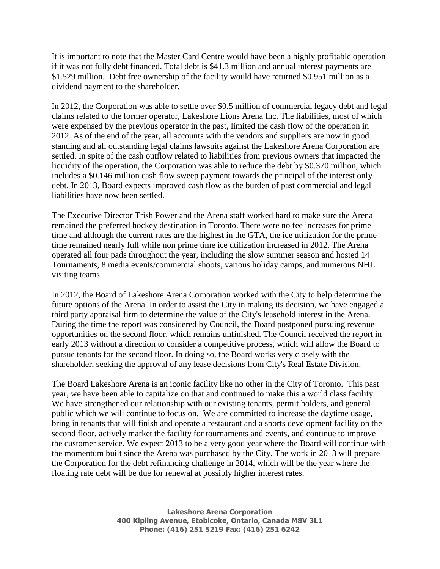It is important to note that the Master Card Centre would have been a highly profitable operation if it was not fully debt financed. Total debt is \$41.3 million and annual interest payments are \$1.529 million. Debt free ownership of the facility would have returned \$0.951 million as a dividend payment to the shareholder.

In 2012, the Corporation was able to settle over \$0.5 million of commercial legacy debt and legal claims related to the former operator, Lakeshore Lions Arena Inc. The liabilities, most of which were expensed by the previous operator in the past, limited the cash flow of the operation in 2012. As of the end of the year, all accounts with the vendors and suppliers are now in good standing and all outstanding legal claims lawsuits against the Lakeshore Arena Corporation are settled. In spite of the cash outflow related to liabilities from previous owners that impacted the liquidity of the operation, the Corporation was able to reduce the debt by \$0.370 million, which includes a \$0.146 million cash flow sweep payment towards the principal of the interest only debt. In 2013, Board expects improved cash flow as the burden of past commercial and legal liabilities have now been settled.

The Executive Director Trish Power and the Arena staff worked hard to make sure the Arena remained the preferred hockey destination in Toronto. There were no fee increases for prime time and although the current rates are the highest in the GTA, the ice utilization for the prime time remained nearly full while non prime time ice utilization increased in 2012. The Arena operated all four pads throughout the year, including the slow summer season and hosted 14 Tournaments, 8 media events/commercial shoots, various holiday camps, and numerous NHL visiting teams.

In 2012, the Board of Lakeshore Arena Corporation worked with the City to help determine the future options of the Arena. In order to assist the City in making its decision, we have engaged a third party appraisal firm to determine the value of the City's leasehold interest in the Arena. During the time the report was considered by Council, the Board postponed pursuing revenue opportunities on the second floor, which remains unfinished. The Council received the report in early 2013 without a direction to consider a competitive process, which will allow the Board to pursue tenants for the second floor. In doing so, the Board works very closely with the shareholder, seeking the approval of any lease decisions from City's Real Estate Division.

The Board Lakeshore Arena is an iconic facility like no other in the City of Toronto. This past year, we have been able to capitalize on that and continued to make this a world class facility. We have strengthened our relationship with our existing tenants, permit holders, and general public which we will continue to focus on. We are committed to increase the daytime usage, bring in tenants that will finish and operate a restaurant and a sports development facility on the second floor, actively market the facility for tournaments and events, and continue to improve the customer service. We expect 2013 to be a very good year where the Board will continue with the momentum built since the Arena was purchased by the City. The work in 2013 will prepare the Corporation for the debt refinancing challenge in 2014, which will be the year where the floating rate debt will be due for renewal at possibly higher interest rates.

> **Lakeshore Arena Corporation 400 Kipling Avenue, Etobicoke, Ontario, Canada M8V 3L1 Phone: (416) 251 5219 Fax: (416) 251 6242**